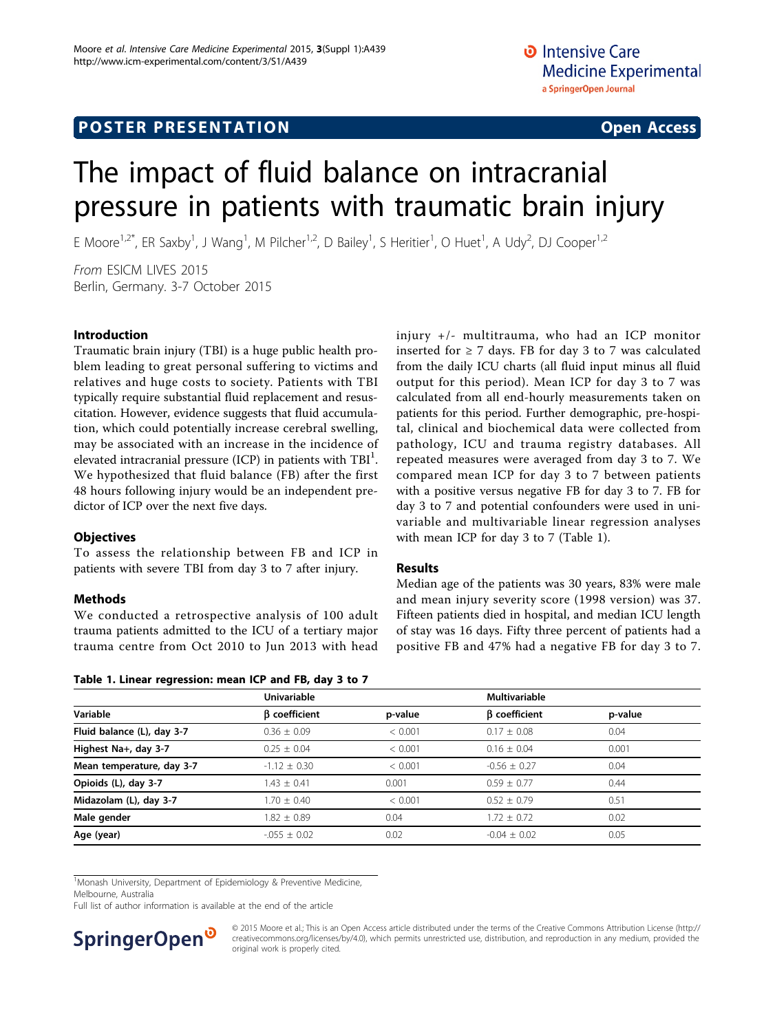# **POSTER PRESENTATION CONSUMING THE SERVICE SERVICE SERVICES**

# The impact of fluid balance on intracranial pressure in patients with traumatic brain injury

E Moore<sup>1,2\*</sup>, ER Saxby<sup>1</sup>, J Wang<sup>1</sup>, M Pilcher<sup>1,2</sup>, D Bailey<sup>1</sup>, S Heritier<sup>1</sup>, O Huet<sup>1</sup>, A Udy<sup>2</sup>, DJ Cooper<sup>1,2</sup>

From ESICM LIVES 2015 Berlin, Germany. 3-7 October 2015

### Introduction

Traumatic brain injury (TBI) is a huge public health problem leading to great personal suffering to victims and relatives and huge costs to society. Patients with TBI typically require substantial fluid replacement and resuscitation. However, evidence suggests that fluid accumulation, which could potentially increase cerebral swelling, may be associated with an increase in the incidence of elevated intracranial pressure (ICP) in patients with  $\text{TBI}^1$ . We hypothesized that fluid balance (FB) after the first 48 hours following injury would be an independent predictor of ICP over the next five days.

#### **Objectives**

To assess the relationship between FB and ICP in patients with severe TBI from day 3 to 7 after injury.

#### Methods

We conducted a retrospective analysis of 100 adult trauma patients admitted to the ICU of a tertiary major trauma centre from Oct 2010 to Jun 2013 with head

Table 1. Linear regression: mean ICP and FB, day 3 to 7

injury +/- multitrauma, who had an ICP monitor inserted for  $\geq$  7 days. FB for day 3 to 7 was calculated from the daily ICU charts (all fluid input minus all fluid output for this period). Mean ICP for day 3 to 7 was calculated from all end-hourly measurements taken on patients for this period. Further demographic, pre-hospital, clinical and biochemical data were collected from pathology, ICU and trauma registry databases. All repeated measures were averaged from day 3 to 7. We compared mean ICP for day 3 to 7 between patients with a positive versus negative FB for day 3 to 7. FB for day 3 to 7 and potential confounders were used in univariable and multivariable linear regression analyses with mean ICP for day 3 to 7 (Table 1).

#### Results

Median age of the patients was 30 years, 83% were male and mean injury severity score (1998 version) was 37. Fifteen patients died in hospital, and median ICU length of stay was 16 days. Fifty three percent of patients had a positive FB and 47% had a negative FB for day 3 to 7.

| Variable                   | <b>Univariable</b>   |         | <b>Multivariable</b> |         |
|----------------------------|----------------------|---------|----------------------|---------|
|                            | <b>B</b> coefficient | p-value | $\beta$ coefficient  | p-value |
| Fluid balance (L), day 3-7 | $0.36 \pm 0.09$      | < 0.001 | $0.17 \pm 0.08$      | 0.04    |
| Highest Na+, day 3-7       | $0.25 \pm 0.04$      | < 0.001 | $0.16 \pm 0.04$      | 0.001   |
| Mean temperature, day 3-7  | $-1.12 \pm 0.30$     | < 0.001 | $-0.56 + 0.27$       | 0.04    |
| Opioids (L), day 3-7       | $1.43 \pm 0.41$      | 0.001   | $0.59 \pm 0.77$      | 0.44    |
| Midazolam (L), day 3-7     | $1.70 \pm 0.40$      | < 0.001 | $0.52 + 0.79$        | 0.51    |
| Male gender                | $1.82 \pm 0.89$      | 0.04    | $1.72 \pm 0.72$      | 0.02    |
| Age (year)                 | $-0.055 \pm 0.02$    | 0.02    | $-0.04 \pm 0.02$     | 0.05    |

<sup>1</sup>Monash University, Department of Epidemiology & Preventive Medicine,

Melbourne, Australia

Full list of author information is available at the end of the article



© 2015 Moore et al.; This is an Open Access article distributed under the terms of the Creative Commons Attribution License [\(http://](http://creativecommons.org/licenses/by/4.0) [creativecommons.org/licenses/by/4.0](http://creativecommons.org/licenses/by/4.0)), which permits unrestricted use, distribution, and reproduction in any medium, provided the original work is properly cited.